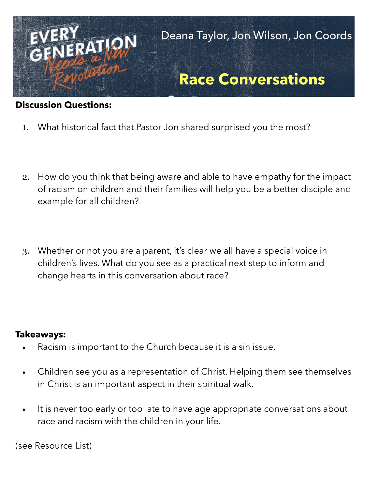

## **Discussion Questions:**

- 1. What historical fact that Pastor Jon shared surprised you the most?
- 2. How do you think that being aware and able to have empathy for the impact of racism on children and their families will help you be a better disciple and example for all children?
- 3. Whether or not you are a parent, it's clear we all have a special voice in children's lives. What do you see as a practical next step to inform and change hearts in this conversation about race?

## **Takeaways:**

- Racism is important to the Church because it is a sin issue.
- Children see you as a representation of Christ. Helping them see themselves in Christ is an important aspect in their spiritual walk.
- It is never too early or too late to have age appropriate conversations about race and racism with the children in your life.

(see Resource List)